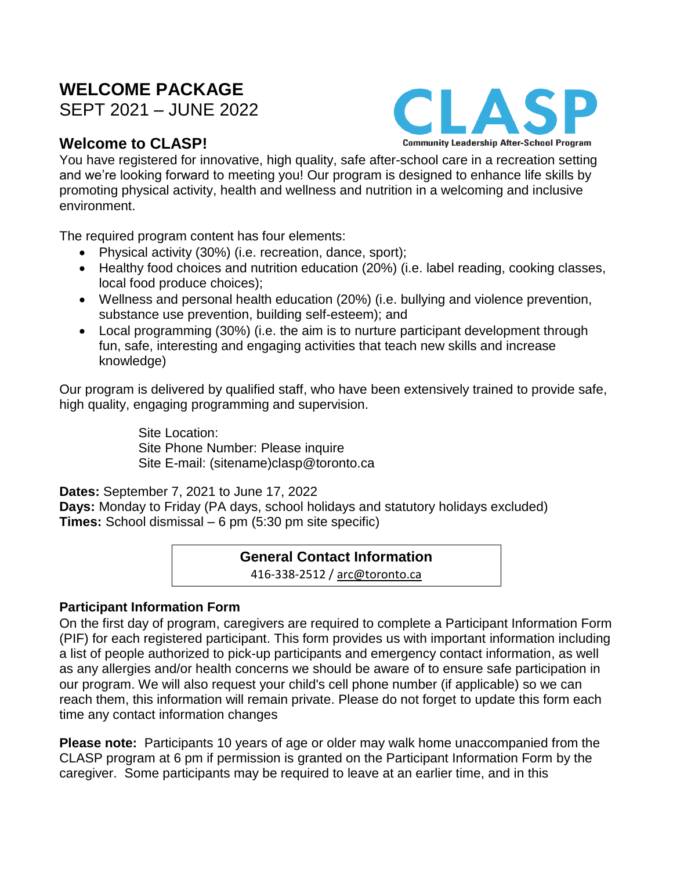# **WELCOME PACKAGE**

SEPT 2021 – JUNE 2022

# **Welcome to CLASP!**



You have registered for innovative, high quality, safe after-school care in a recreation setting and we're looking forward to meeting you! Our program is designed to enhance life skills by promoting physical activity, health and wellness and nutrition in a welcoming and inclusive environment.

The required program content has four elements:

- Physical activity (30%) (i.e. recreation, dance, sport);
- Healthy food choices and nutrition education (20%) (i.e. label reading, cooking classes, local food produce choices);
- Wellness and personal health education (20%) (i.e. bullying and violence prevention, substance use prevention, building self-esteem); and
- Local programming (30%) (i.e. the aim is to nurture participant development through fun, safe, interesting and engaging activities that teach new skills and increase knowledge)

Our program is delivered by qualified staff, who have been extensively trained to provide safe, high quality, engaging programming and supervision.

> Site Location: Site Phone Number: Please inquire Site E-mail: (sitename)clasp@toronto.ca

**Dates:** September 7, 2021 to June 17, 2022

**Days:** Monday to Friday (PA days, school holidays and statutory holidays excluded) **Times:** School dismissal – 6 pm (5:30 pm site specific)

# **General Contact Information**

416-338-2512 / arc@toronto.ca

# **Participant Information Form**

On the first day of program, caregivers are required to complete a Participant Information Form (PIF) for each registered participant. This form provides us with important information including a list of people authorized to pick-up participants and emergency contact information, as well as any allergies and/or health concerns we should be aware of to ensure safe participation in our program. We will also request your child's cell phone number (if applicable) so we can reach them, this information will remain private. Please do not forget to update this form each time any contact information changes

**Please note:** Participants 10 years of age or older may walk home unaccompanied from the CLASP program at 6 pm if permission is granted on the Participant Information Form by the caregiver. Some participants may be required to leave at an earlier time, and in this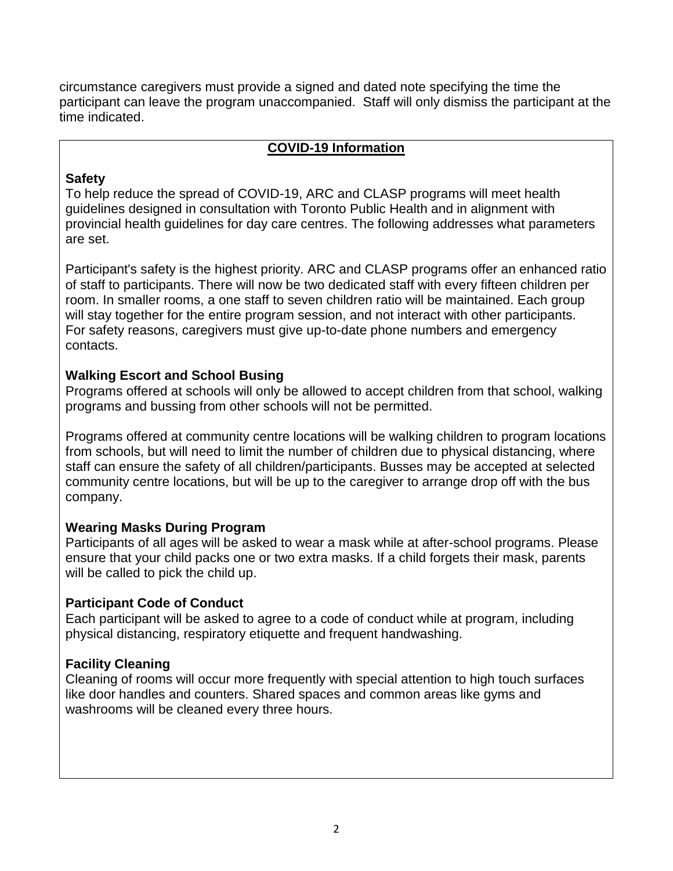circumstance caregivers must provide a signed and dated note specifying the time the participant can leave the program unaccompanied. Staff will only dismiss the participant at the time indicated.

#### **COVID-19 Information**

# **Safety**

To help reduce the spread of COVID-19, ARC and CLASP programs will meet health guidelines designed in consultation with Toronto Public Health and in alignment with provincial health guidelines for day care centres. The following addresses what parameters are set.

Participant's safety is the highest priority. ARC and CLASP programs offer an enhanced ratio of staff to participants. There will now be two dedicated staff with every fifteen children per room. In smaller rooms, a one staff to seven children ratio will be maintained. Each group will stay together for the entire program session, and not interact with other participants. For safety reasons, caregivers must give up-to-date phone numbers and emergency contacts.

# **Walking Escort and School Busing**

Programs offered at schools will only be allowed to accept children from that school, walking programs and bussing from other schools will not be permitted.

Programs offered at community centre locations will be walking children to program locations from schools, but will need to limit the number of children due to physical distancing, where staff can ensure the safety of all children/participants. Busses may be accepted at selected community centre locations, but will be up to the caregiver to arrange drop off with the bus company.

# **Wearing Masks During Program**

Participants of all ages will be asked to wear a mask while at after-school programs. Please ensure that your child packs one or two extra masks. If a child forgets their mask, parents will be called to pick the child up.

# **Participant Code of Conduct**

Each participant will be asked to agree to a code of conduct while at program, including physical distancing, respiratory etiquette and frequent handwashing.

# **Facility Cleaning**

Cleaning of rooms will occur more frequently with special attention to high touch surfaces like door handles and counters. Shared spaces and common areas like gyms and washrooms will be cleaned every three hours.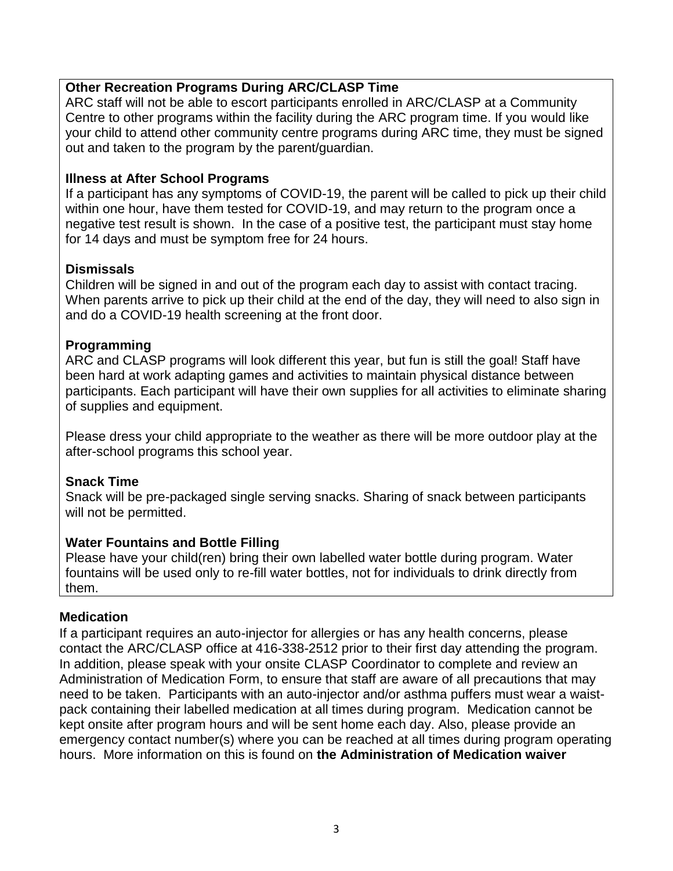# **Other Recreation Programs During ARC/CLASP Time**

ARC staff will not be able to escort participants enrolled in ARC/CLASP at a Community Centre to other programs within the facility during the ARC program time. If you would like your child to attend other community centre programs during ARC time, they must be signed out and taken to the program by the parent/guardian.

#### **Illness at After School Programs**

If a participant has any symptoms of COVID-19, the parent will be called to pick up their child within one hour, have them tested for COVID-19, and may return to the program once a negative test result is shown. In the case of a positive test, the participant must stay home for 14 days and must be symptom free for 24 hours.

# **Dismissals**

Children will be signed in and out of the program each day to assist with contact tracing. When parents arrive to pick up their child at the end of the day, they will need to also sign in and do a COVID-19 health screening at the front door.

# **Programming**

ARC and CLASP programs will look different this year, but fun is still the goal! Staff have been hard at work adapting games and activities to maintain physical distance between participants. Each participant will have their own supplies for all activities to eliminate sharing of supplies and equipment.

Please dress your child appropriate to the weather as there will be more outdoor play at the after-school programs this school year.

#### **Snack Time**

Snack will be pre-packaged single serving snacks. Sharing of snack between participants will not be permitted.

#### **Water Fountains and Bottle Filling**

Please have your child(ren) bring their own labelled water bottle during program. Water fountains will be used only to re-fill water bottles, not for individuals to drink directly from them.

#### **Medication**

If a participant requires an auto-injector for allergies or has any health concerns, please contact the ARC/CLASP office at 416-338-2512 prior to their first day attending the program. In addition, please speak with your onsite CLASP Coordinator to complete and review an Administration of Medication Form, to ensure that staff are aware of all precautions that may need to be taken. Participants with an auto-injector and/or asthma puffers must wear a waistpack containing their labelled medication at all times during program. Medication cannot be kept onsite after program hours and will be sent home each day. Also, please provide an emergency contact number(s) where you can be reached at all times during program operating hours. More information on this is found on **the Administration of Medication waiver**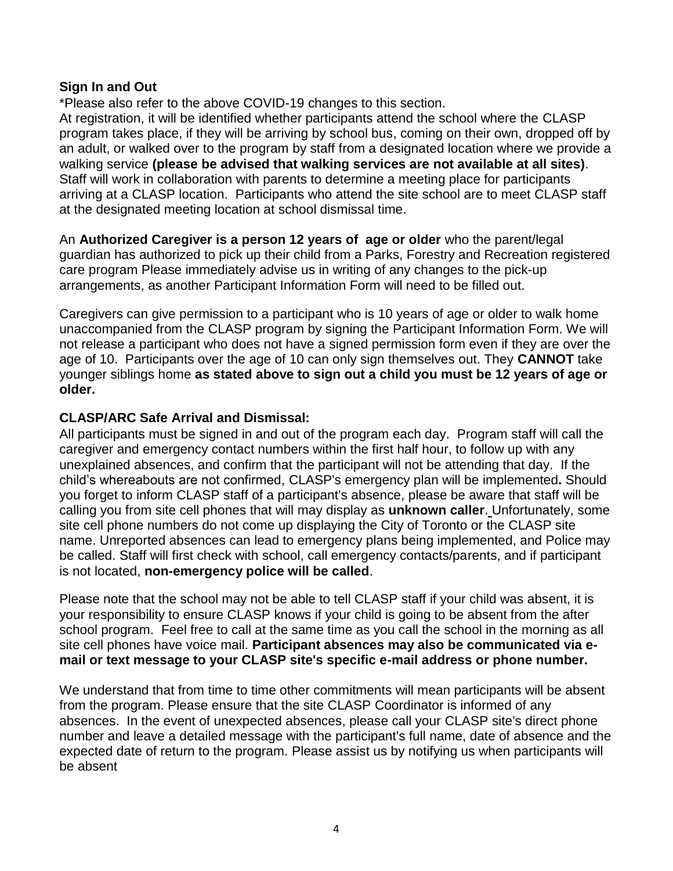#### **Sign In and Out**

\*Please also refer to the above COVID-19 changes to this section.

At registration, it will be identified whether participants attend the school where the CLASP program takes place, if they will be arriving by school bus, coming on their own, dropped off by an adult, or walked over to the program by staff from a designated location where we provide a walking service **(please be advised that walking services are not available at all sites)**. Staff will work in collaboration with parents to determine a meeting place for participants arriving at a CLASP location. Participants who attend the site school are to meet CLASP staff at the designated meeting location at school dismissal time.

An **Authorized Caregiver is a person 12 years of age or older** who the parent/legal guardian has authorized to pick up their child from a Parks, Forestry and Recreation registered care program Please immediately advise us in writing of any changes to the pick-up arrangements, as another Participant Information Form will need to be filled out.

Caregivers can give permission to a participant who is 10 years of age or older to walk home unaccompanied from the CLASP program by signing the Participant Information Form. We will not release a participant who does not have a signed permission form even if they are over the age of 10. Participants over the age of 10 can only sign themselves out. They **CANNOT** take younger siblings home **as stated above to sign out a child you must be 12 years of age or older.**

# **CLASP/ARC Safe Arrival and Dismissal:**

All participants must be signed in and out of the program each day. Program staff will call the caregiver and emergency contact numbers within the first half hour, to follow up with any unexplained absences, and confirm that the participant will not be attending that day. If the child's whereabouts are not confirmed, CLASP's emergency plan will be implemented**.** Should you forget to inform CLASP staff of a participant's absence, please be aware that staff will be calling you from site cell phones that will may display as **unknown caller**. Unfortunately, some site cell phone numbers do not come up displaying the City of Toronto or the CLASP site name. Unreported absences can lead to emergency plans being implemented, and Police may be called. Staff will first check with school, call emergency contacts/parents, and if participant is not located, **non-emergency police will be called**.

Please note that the school may not be able to tell CLASP staff if your child was absent, it is your responsibility to ensure CLASP knows if your child is going to be absent from the after school program. Feel free to call at the same time as you call the school in the morning as all site cell phones have voice mail. **Participant absences may also be communicated via email or text message to your CLASP site's specific e-mail address or phone number.** 

We understand that from time to time other commitments will mean participants will be absent from the program. Please ensure that the site CLASP Coordinator is informed of any absences. In the event of unexpected absences, please call your CLASP site's direct phone number and leave a detailed message with the participant's full name, date of absence and the expected date of return to the program. Please assist us by notifying us when participants will be absent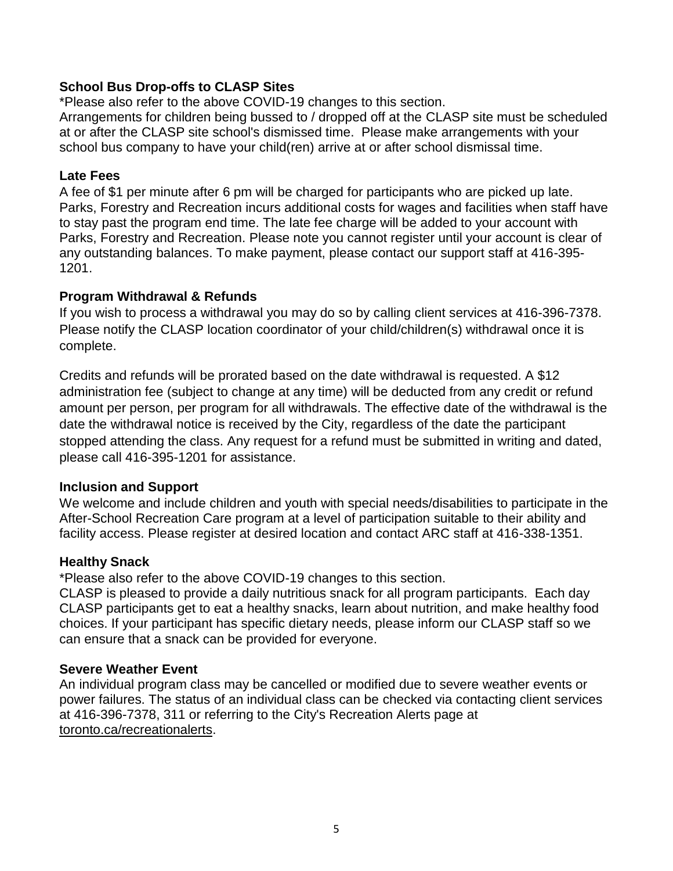#### **School Bus Drop-offs to CLASP Sites**

\*Please also refer to the above COVID-19 changes to this section.

Arrangements for children being bussed to / dropped off at the CLASP site must be scheduled at or after the CLASP site school's dismissed time. Please make arrangements with your school bus company to have your child(ren) arrive at or after school dismissal time.

#### **Late Fees**

A fee of \$1 per minute after 6 pm will be charged for participants who are picked up late. Parks, Forestry and Recreation incurs additional costs for wages and facilities when staff have to stay past the program end time. The late fee charge will be added to your account with Parks, Forestry and Recreation. Please note you cannot register until your account is clear of any outstanding balances. To make payment, please contact our support staff at 416-395- 1201.

#### **Program Withdrawal & Refunds**

If you wish to process a withdrawal you may do so by calling client services at 416-396-7378. Please notify the CLASP location coordinator of your child/children(s) withdrawal once it is complete.

Credits and refunds will be prorated based on the date withdrawal is requested. A \$12 administration fee (subject to change at any time) will be deducted from any credit or refund amount per person, per program for all withdrawals. The effective date of the withdrawal is the date the withdrawal notice is received by the City, regardless of the date the participant stopped attending the class. Any request for a refund must be submitted in writing and dated, please call 416-395-1201 for assistance.

#### **Inclusion and Support**

We welcome and include children and youth with special needs/disabilities to participate in the After-School Recreation Care program at a level of participation suitable to their ability and facility access. Please register at desired location and contact ARC staff at 416-338-1351.

#### **Healthy Snack**

\*Please also refer to the above COVID-19 changes to this section.

CLASP is pleased to provide a daily nutritious snack for all program participants. Each day CLASP participants get to eat a healthy snacks, learn about nutrition, and make healthy food choices. If your participant has specific dietary needs, please inform our CLASP staff so we can ensure that a snack can be provided for everyone.

#### **Severe Weather Event**

An individual program class may be cancelled or modified due to severe weather events or power failures. The status of an individual class can be checked via contacting client services at 416-396-7378, 311 or referring to the City's Recreation Alerts page at toronto.ca/recreationalerts.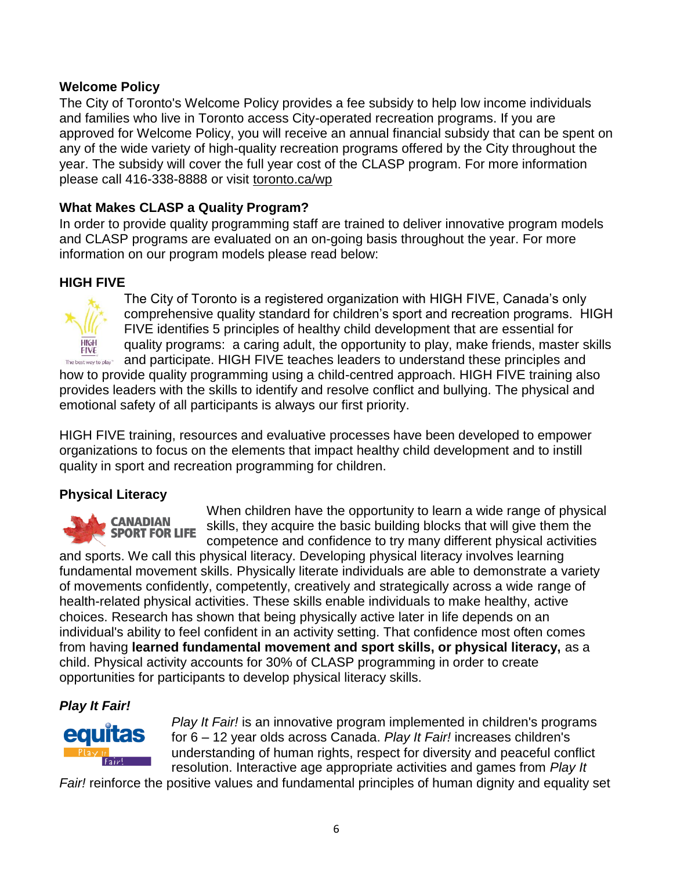#### **Welcome Policy**

The City of Toronto's Welcome Policy provides a fee subsidy to help low income individuals and families who live in Toronto access City-operated recreation programs. If you are approved for Welcome Policy, you will receive an annual financial subsidy that can be spent on any of the wide variety of high-quality recreation programs offered by the City throughout the year. The subsidy will cover the full year cost of the CLASP program. For more information please call 416-338-8888 or visit toronto.ca/wp

# **What Makes CLASP a Quality Program?**

In order to provide quality programming staff are trained to deliver innovative program models and CLASP programs are evaluated on an on-going basis throughout the year. For more information on our program models please read below:

# **HIGH FIVE**



The City of Toronto is a registered organization with HIGH FIVE, Canada's only comprehensive quality standard for children's sport and recreation programs. HIGH FIVE identifies 5 principles of healthy child development that are essential for quality programs: a caring adult, the opportunity to play, make friends, master skills and participate. HIGH FIVE teaches leaders to understand these principles and

The best way to play" how to provide quality programming using a child-centred approach. HIGH FIVE training also provides leaders with the skills to identify and resolve conflict and bullying. The physical and emotional safety of all participants is always our first priority.

HIGH FIVE training, resources and evaluative processes have been developed to empower organizations to focus on the elements that impact healthy child development and to instill quality in sport and recreation programming for children.

# **Physical Literacy**

**CANADIAN SPORT FOR LIFE** 

When children have the opportunity to learn a wide range of physical skills, they acquire the basic building blocks that will give them the competence and confidence to try many different physical activities

and sports. We call this physical literacy. Developing physical literacy involves learning fundamental movement skills. Physically literate individuals are able to demonstrate a variety of movements confidently, competently, creatively and strategically across a wide range of health-related physical activities. These skills enable individuals to make healthy, active choices. Research has shown that being physically active later in life depends on an individual's ability to feel confident in an activity setting. That confidence most often comes from having **learned fundamental movement and sport skills, or physical literacy,** as a child. Physical activity accounts for 30% of CLASP programming in order to create opportunities for participants to develop physical literacy skills.

# *Play It Fair!*



*Play It Fair!* is an innovative program implemented in children's programs for 6 – 12 year olds across Canada. *Play It Fair!* increases children's understanding of human rights, respect for diversity and peaceful conflict resolution. Interactive age appropriate activities and games from *Play It* 

*Fair!* reinforce the positive values and fundamental principles of human dignity and equality set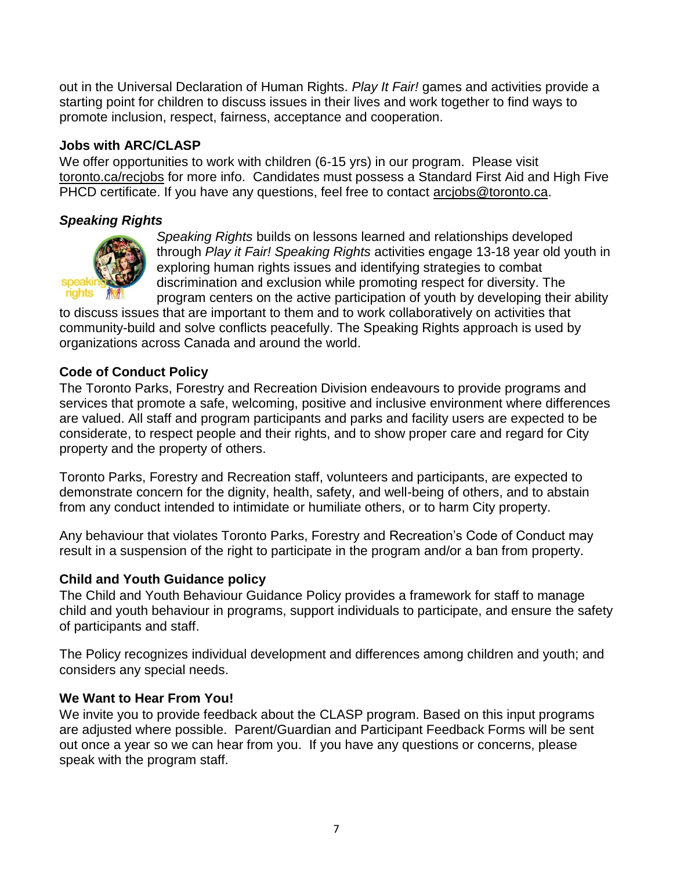out in the Universal Declaration of Human Rights. *Play It Fair!* games and activities provide a starting point for children to discuss issues in their lives and work together to find ways to promote inclusion, respect, fairness, acceptance and cooperation.

#### **Jobs with ARC/CLASP**

We offer opportunities to work with children (6-15 yrs) in our program. Please visit toronto.ca/recjobs for more info. Candidates must possess a Standard First Aid and High Five PHCD certificate. If you have any questions, feel free to contact arcjobs@toronto.ca.

#### *Speaking Rights*



*Speaking Rights* builds on lessons learned and relationships developed through *Play it Fair! Speaking Rights* activities engage 13-18 year old youth in exploring human rights issues and identifying strategies to combat discrimination and exclusion while promoting respect for diversity. The program centers on the active participation of youth by developing their ability

to discuss issues that are important to them and to work collaboratively on activities that community-build and solve conflicts peacefully. The Speaking Rights approach is used by organizations across Canada and around the world.

#### **Code of Conduct Policy**

The Toronto Parks, Forestry and Recreation Division endeavours to provide programs and services that promote a safe, welcoming, positive and inclusive environment where differences are valued. All staff and program participants and parks and facility users are expected to be considerate, to respect people and their rights, and to show proper care and regard for City property and the property of others.

Toronto Parks, Forestry and Recreation staff, volunteers and participants, are expected to demonstrate concern for the dignity, health, safety, and well-being of others, and to abstain from any conduct intended to intimidate or humiliate others, or to harm City property.

Any behaviour that violates Toronto Parks, Forestry and Recreation's Code of Conduct may result in a suspension of the right to participate in the program and/or a ban from property.

#### **Child and Youth Guidance policy**

The Child and Youth Behaviour Guidance Policy provides a framework for staff to manage child and youth behaviour in programs, support individuals to participate, and ensure the safety of participants and staff.

The Policy recognizes individual development and differences among children and youth; and considers any special needs.

#### **We Want to Hear From You!**

We invite you to provide feedback about the CLASP program. Based on this input programs are adjusted where possible. Parent/Guardian and Participant Feedback Forms will be sent out once a year so we can hear from you. If you have any questions or concerns, please speak with the program staff.